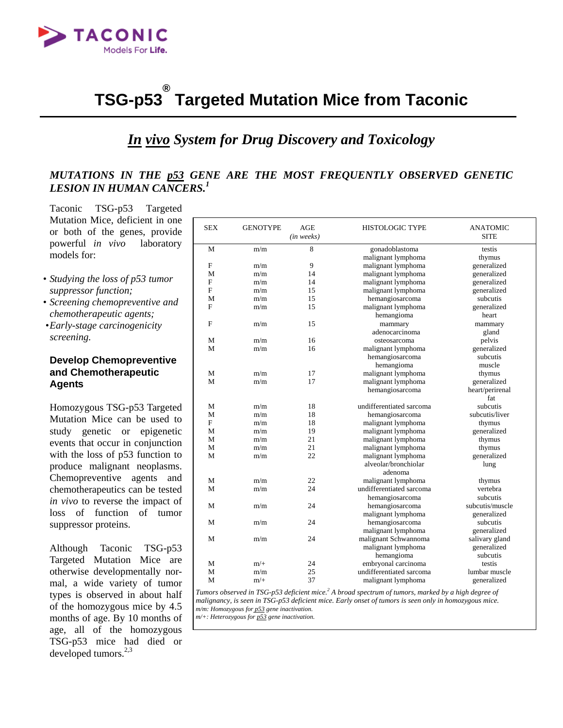

### **TSG-p53 ® Targeted Mutation Mice from Taconic**

# *In vivo System for Drug Discovery and Toxicology*

# *MUTATIONS IN THE p53 GENE ARE THE MOST FREQUENTLY OBSERVED GENETIC LESION IN HUMAN CANCERS.<sup>1</sup>*

Taconic TSG-p53 Targeted Mutation Mice, deficient in one or both of the genes, provide powerful *in vivo* laboratory models for:

- *Studying the loss of p53 tumor suppressor function;*
- *Screening chemopreventive and chemotherapeutic agents;*
- *Early-stage carcinogenicity screening.*

# **Develop Chemopreventive and Chemotherapeutic Agents**

Homozygous TSG-p53 Targeted Mutation Mice can be used to study genetic or epigenetic events that occur in conjunction with the loss of p53 function to produce malignant neoplasms. Chemopreventive agents and chemotherapeutics can be tested *in vivo* to reverse the impact of loss of function of tumor suppressor proteins.

Although Taconic TSG-p53 Targeted Mutation Mice are otherwise developmentally normal, a wide variety of tumor types is observed in about half of the homozygous mice by 4.5 months of age. By 10 months of age, all of the homozygous TSG-p53 mice had died or developed tumors. $2,3$ 

| <b>SEX</b>     | <b>GENOTYPE</b> | <b>AGE</b> | <b>HISTOLOGIC TYPE</b>            | <b>ANATOMIC</b> |  |
|----------------|-----------------|------------|-----------------------------------|-----------------|--|
|                |                 | (in weeks) |                                   | <b>SITE</b>     |  |
| M              | m/m             | 8          | gonadoblastoma                    | testis          |  |
|                |                 |            | malignant lymphoma                | thymus          |  |
| F              | m/m             | 9          | malignant lymphoma                | generalized     |  |
| M              | m/m             | 14         | malignant lymphoma                | generalized     |  |
| F              | m/m             | 14         | malignant lymphoma                | generalized     |  |
| $\overline{F}$ | m/m             | 15         | malignant lymphoma<br>generalized |                 |  |
| M              | m/m             | 15         | subcutis<br>hemangiosarcoma       |                 |  |
| F              | m/m             | 15         | malignant lymphoma                | generalized     |  |
|                |                 |            | hemangioma                        | heart           |  |
| F              | m/m             | 15         | mammary                           | mammary         |  |
|                |                 |            | adenocarcinoma                    | gland           |  |
| M              | m/m             | 16         | osteosarcoma                      | pelvis          |  |
| M              | m/m             | 16         | malignant lymphoma                | generalized     |  |
|                |                 |            | hemangiosarcoma                   | subcutis        |  |
|                |                 |            | hemangioma                        | muscle          |  |
| М              | m/m             | 17         | malignant lymphoma                | thymus          |  |
| M              | m/m             | 17         | malignant lymphoma                | generalized     |  |
|                |                 |            | hemangiosarcoma                   | heart/perirenal |  |
|                |                 |            |                                   | fat             |  |
| М              | m/m             | 18         | undifferentiated sarcoma          | subcutis        |  |
| М              | m/m             | 18         | hemangiosarcoma                   | subcutis/liver  |  |
| F              | m/m             | 18         | malignant lymphoma<br>thymus      |                 |  |
| M              | m/m             | 19         | malignant lymphoma<br>generalized |                 |  |
| М              | m/m             | 21         | malignant lymphoma<br>thymus      |                 |  |
| M              | m/m             | 21         | malignant lymphoma<br>thymus      |                 |  |
| M              | m/m             | 22         | malignant lymphoma                | generalized     |  |
|                |                 |            | alveolar/bronchiolar<br>lung      |                 |  |
|                |                 |            | adenoma                           |                 |  |
| M              | m/m             | 22         | malignant lymphoma                | thymus          |  |
| M              | m/m             | 24         | undifferentiated sarcoma          | vertebra        |  |
|                |                 |            | hemangiosarcoma                   | subcutis        |  |
| M              | m/m             | 24         | hemangiosarcoma                   | subcutis/muscle |  |
|                |                 |            | malignant lymphoma                | generalized     |  |
| M              | m/m             | 24         | hemangiosarcoma                   | subcutis        |  |
|                |                 |            | malignant lymphoma                | generalized     |  |
| M              | m/m             | 24         | malignant Schwannoma              | salivary gland  |  |
|                |                 |            | malignant lymphoma                | generalized     |  |
|                |                 |            | hemangioma                        | subcutis        |  |
| M              | $m/+$           | 24         | embryonal carcinoma               | testis          |  |
| M              | m/m             | 25         | undifferentiated sarcoma          | lumbar muscle   |  |
| M              | $m/+$           | 37         | malignant lymphoma                | generalized     |  |

*Tumors observed in TSG-p53 deficient mice.2 A broad spectrum of tumors, marked by a high degree of malignancy, is seen in TSG-p53 deficient mice. Early onset of tumors is seen only in homozygous mice. m/m: Homozygous for p53 gene inactivation.* 

*m/+: Heterozygous for p53 gene inactivation.*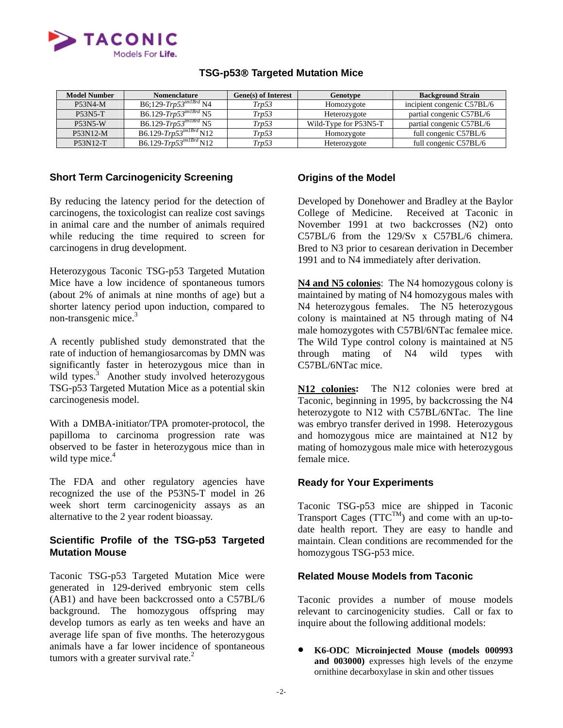

| <b>Model Number</b> | <b>Nomenclature</b>                     | Gene(s) of Interest | Genotype              | <b>Background Strain</b>   |
|---------------------|-----------------------------------------|---------------------|-----------------------|----------------------------|
| <b>P53N4-M</b>      | $B6;129$ -Trp $53^{tm1Brd}$ N4          | Trv53               | Homozygote            | incipient congenic C57BL/6 |
| <b>P53N5-T</b>      | $B6.129$ -Trp53 <sup>tm1Brd</sup> N5    | Trv53               | Heterozygote          | partial congenic C57BL/6   |
| <b>P53N5-W</b>      | $B6.129$ -Trp53 <sup>tm1Brd</sup> N5    | Trv53               | Wild-Type for P53N5-T | partial congenic C57BL/6   |
| P53N12-M            | B6.129- $Trp53^{tm1Brd}$ N12            | Trp53               | Homozygote            | full congenic C57BL/6      |
| P53N12-T            | B6.129- $\overline{Trp53}^{tm1Brd}$ N12 | Trp53               | Heterozygote          | full congenic C57BL/6      |

# **TSG-p53**® **Targeted Mutation Mice**

# **Short Term Carcinogenicity Screening**

By reducing the latency period for the detection of carcinogens, the toxicologist can realize cost savings in animal care and the number of animals required while reducing the time required to screen for carcinogens in drug development.

 Heterozygous Taconic TSG-p53 Targeted Mutation Mice have a low incidence of spontaneous tumors (about 2% of animals at nine months of age) but a shorter latency period upon induction, compared to non-transgenic mice.<sup>3</sup>

 A recently published study demonstrated that the rate of induction of hemangiosarcomas by DMN was significantly faster in heterozygous mice than in wild types.<sup>3</sup> Another study involved heterozygous TSG-p53 Targeted Mutation Mice as a potential skin carcinogenesis model.

With a DMBA-initiator/TPA promoter-protocol, the papilloma to carcinoma progression rate was observed to be faster in heterozygous mice than in wild type mice.<sup>4</sup>

 The FDA and other regulatory agencies have recognized the use of the P53N5-T model in 26 week short term carcinogenicity assays as an alternative to the 2 year rodent bioassay.

# **Scientific Profile of the TSG-p53 Targeted Mutation Mouse**

Taconic TSG-p53 Targeted Mutation Mice were generated in 129-derived embryonic stem cells (AB1) and have been backcrossed onto a C57BL/6 background. The homozygous offspring may develop tumors as early as ten weeks and have an average life span of five months. The heterozygous animals have a far lower incidence of spontaneous tumors with a greater survival rate.<sup>2</sup>

### **Origins of the Model**

Developed by Donehower and Bradley at the Baylor College of Medicine. Received at Taconic in November 1991 at two backcrosses (N2) onto C57BL/6 from the 129/Sv x C57BL/6 chimera. Bred to N3 prior to cesarean derivation in December 1991 and to N4 immediately after derivation.

**N4 and N5 colonies**: The N4 homozygous colony is maintained by mating of N4 homozygous males with N4 heterozygous females. The N5 heterozygous colony is maintained at N5 through mating of N4 male homozygotes with C57Bl/6NTac femalee mice. The Wild Type control colony is maintained at N5 through mating of N4 wild types with C57BL/6NTac mice.

**N12 colonies:** The N12 colonies were bred at Taconic, beginning in 1995, by backcrossing the N4 heterozygote to N12 with C57BL/6NTac. The line was embryo transfer derived in 1998. Heterozygous and homozygous mice are maintained at N12 by mating of homozygous male mice with heterozygous female mice.

### **Ready for Your Experiments**

Taconic TSG-p53 mice are shipped in Taconic Transport Cages  $(TTC^{TM})$  and come with an up-todate health report. They are easy to handle and maintain. Clean conditions are recommended for the homozygous TSG-p53 mice.

# **Related Mouse Models from Taconic**

Taconic provides a number of mouse models relevant to carcinogenicity studies. Call or fax to inquire about the following additional models:

• **K6-ODC Microinjected Mouse (models 000993 and 003000)** expresses high levels of the enzyme ornithine decarboxylase in skin and other tissues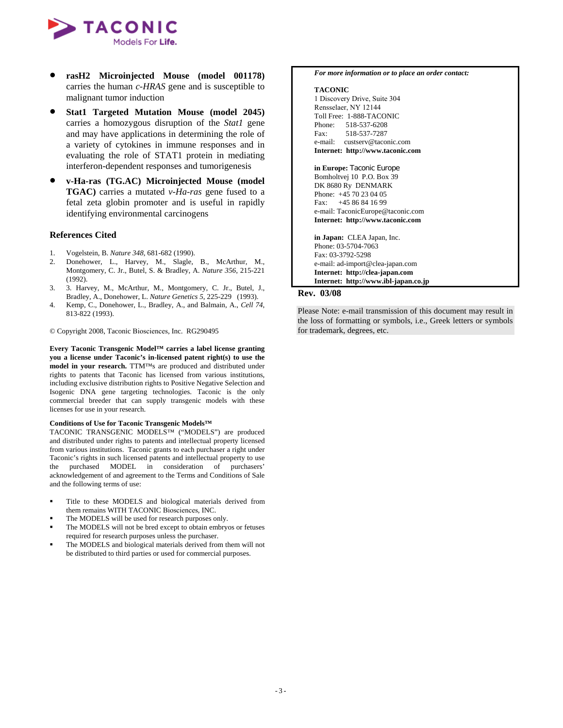

- **rasH2 Microinjected Mouse (model 001178)** carries the human *c-HRAS* gene and is susceptible to malignant tumor induction
- **Stat1 Targeted Mutation Mouse (model 2045)** carries a homozygous disruption of the *Stat1* gene and may have applications in determining the role of a variety of cytokines in immune responses and in evaluating the role of STAT1 protein in mediating interferon-dependent responses and tumorigenesis
- **v-Ha-ras (TG.AC) Microinjected Mouse (model TGAC)** carries a mutated *v-Ha-ras* gene fused to a fetal zeta globin promoter and is useful in rapidly identifying environmental carcinogens

### **References Cited**

- 1. Vogelstein, B. *Nature 348*, 681-682 (1990).
- 2. Donehower, L., Harvey, M., Slagle, B., McArthur, M., Montgomery, C. Jr., Butel, S. & Bradley, A. *Nature 356*, 215-221 (1992).
- 3. 3. Harvey, M., McArthur, M., Montgomery, C. Jr., Butel, J., Bradley, A., Donehower, L. *Nature Genetics 5*, 225-229 (1993).
- 4. Kemp, C., Donehower, L., Bradley, A., and Balmain, A., *Cell 74*, 813-822 (1993).

© Copyright 2008, Taconic Biosciences, Inc. RG290495

**Every Taconic Transgenic Model™ carries a label license granting you a license under Taconic's in-licensed patent right(s) to use the model in your research.** TTM™s are produced and distributed under rights to patents that Taconic has licensed from various institutions, including exclusive distribution rights to Positive Negative Selection and Isogenic DNA gene targeting technologies. Taconic is the only commercial breeder that can supply transgenic models with these licenses for use in your research.

### **Conditions of Use for Taconic Transgenic Models™**

TACONIC TRANSGENIC MODELS™ ("MODELS") are produced and distributed under rights to patents and intellectual property licensed from various institutions. Taconic grants to each purchaser a right under Taconic's rights in such licensed patents and intellectual property to use the purchased MODEL in consideration of purchasers' acknowledgement of and agreement to the Terms and Conditions of Sale and the following terms of use:

- Title to these MODELS and biological materials derived from them remains WITH TACONIC Biosciences, INC.
- The MODELS will be used for research purposes only.
- The MODELS will not be bred except to obtain embryos or fetuses required for research purposes unless the purchaser.
- The MODELS and biological materials derived from them will not be distributed to third parties or used for commercial purposes.

#### *For more information or to place an order contact:*

### **TACONIC**

1 Discovery Drive, Suite 304 Rensselaer, NY 12144 Toll Free: 1-888-TACONIC Phone: 518-537-6208 Fax: 518-537-7287 e-mail: custserv@taconic.com **Internet: http://www.taconic.com**

**in Europe:** Taconic Europe Bomholtvej 10 P.O. Box 39 DK 8680 Ry DENMARK Phone: +45 70 23 04 05 Fax: +45 86 84 16 99 e-mail: TaconicEurope@taconic.com **Internet: http://www.taconic.com** 

**in Japan:** CLEA Japan, Inc. Phone: 03-5704-7063 Fax: 03-3792-5298 e-mail: ad-import@clea-japan.com **Internet: http://clea-japan.com Internet: http://www.ibl-japan.co.jp**

### **Rev. 03/08**

Please Note: e-mail transmission of this document may result in the loss of formatting or symbols, i.e., Greek letters or symbols for trademark, degrees, etc.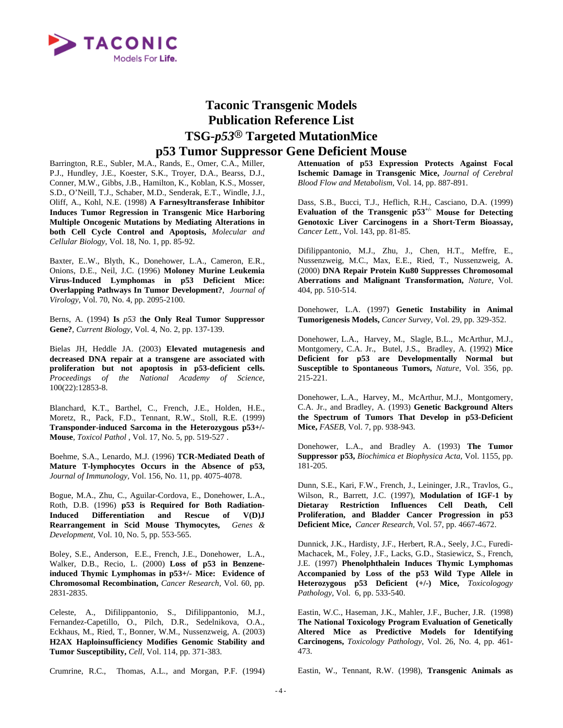

# **Taconic Transgenic Models Publication Reference List TSG***-p53***® Targeted MutationMice p53 Tumor Suppressor Gene Deficient Mouse**

Barrington, R.E., Subler, M.A., Rands, E., Omer, C.A., Miller, P.J., Hundley, J.E., Koester, S.K., Troyer, D.A., Bearss, D.J., Conner, M.W., Gibbs, J.B., Hamilton, K., Koblan, K.S., Mosser, S.D., O'Neill, T.J., Schaber, M.D., Senderak, E.T., Windle, J.J., Oliff, A., Kohl, N.E. (1998) **A Farnesyltransferase Inhibitor Induces Tumor Regression in Transgenic Mice Harboring Multiple Oncogenic Mutations by Mediating Alterations in both Cell Cycle Control and Apoptosis,** *Molecular and Cellular Biology,* Vol. 18, No. 1, pp. 85-92.

Baxter, E..W., Blyth, K., Donehower, L.A., Cameron, E.R., Onions, D.E., Neil, J.C. (1996) **Moloney Murine Leukemia Virus-Induced Lymphomas in p53 Deficient Mice: Overlapping Pathways In Tumor Development?**, *Journal of Virology,* Vol. 70, No. 4, pp. 2095-2100.

Berns, A. (1994) **Is** *p53* t**he Only Real Tumor Suppressor Gene?**, *Current Biology*, Vol. 4, No. 2, pp. 137-139.

Bielas JH, Heddle JA. (2003) **Elevated mutagenesis and decreased DNA repair at a transgene are associated with proliferation but not apoptosis in p53-deficient cells.** *Proceedings of the National Academy of Science,* 100(22):12853-8.

Blanchard, K.T., Barthel, C., French, J.E., Holden, H.E., Moretz, R., Pack, F.D., Tennant, R.W., Stoll, R.E. (1999) **Transponder-induced Sarcoma in the Heterozygous p53+/- Mouse**, *Toxicol Pathol* , Vol. 17, No. 5, pp. 519-527 .

Boehme, S.A., Lenardo, M.J. (1996) **TCR-Mediated Death of Mature T-lymphocytes Occurs in the Absence of p53,**  *Journal of Immunology,* Vol. 156, No. 11, pp. 4075-4078.

Bogue, M.A., Zhu, C., Aguilar-Cordova, E., Donehower, L.A., Roth, D.B. (1996) **p53 is Required for Both Radiation-Induced Differentiation and Rescue of V(D)J Rearrangement in Scid Mouse Thymocytes,** *Genes & Development,* Vol. 10, No. 5, pp. 553-565.

Boley, S.E., Anderson, E.E., French, J.E., Donehower, L.A., Walker, D.B., Recio, L. (2000) **Loss of p53 in Benzeneinduced Thymic Lymphomas in p53+/- Mice: Evidence of Chromosomal Recombination,** *Cancer Research,* Vol. 60, pp. 2831-2835.

Celeste, A., Difilippantonio, S., Difilippantonio, M.J., Fernandez-Capetillo, O., Pilch, D.R., Sedelnikova, O.A., Eckhaus, M., Ried, T., Bonner, W.M., Nussenzweig, A. (2003) **H2AX Haploinsufficiency Modifies Genomic Stability and Tumor Susceptibility,** *Cell,* Vol. 114, pp. 371-383.

**Attenuation of p53 Expression Protects Against Focal Ischemic Damage in Transgenic Mice,** *Journal of Cerebral Blood Flow and Metabolism*, Vol. 14, pp. 887-891.

Dass, S.B., Bucci, T.J., Heflich, R.H., Casciano, D.A. (1999) **Evaluation of the Transgenic p53+/- Mouse for Detecting Genotoxic Liver Carcinogens in a Short-Term Bioassay,**  *Cancer Lett.,* Vol. 143, pp. 81-85.

Difilippantonio, M.J., Zhu, J., Chen, H.T., Meffre, E., Nussenzweig, M.C., Max, E.E., Ried, T., Nussenzweig, A. (2000) **DNA Repair Protein Ku80 Suppresses Chromosomal Aberrations and Malignant Transformation,** *Nature,* Vol. 404, pp. 510-514.

Donehower, L.A. (1997) **Genetic Instability in Animal Tumorigenesis Models,** *Cancer Survey,* Vol. 29, pp. 329-352.

Donehower, L.A., Harvey, M., Slagle, B.L., McArthur, M.J., Montgomery, C.A. Jr., Butel, J.S., Bradley, A. (1992) **Mice Deficient for p53 are Developmentally Normal but Susceptible to Spontaneous Tumors,** *Nature*, Vol. 356, pp. 215-221.

Donehower, L.A., Harvey, M., McArthur, M.J., Montgomery, C.A. Jr., and Bradley, A. (1993) **Genetic Background Alters the Spectrum of Tumors That Develop in p53-Deficient Mice,** *FASEB*, Vol. 7, pp. 938-943.

Donehower, L.A., and Bradley A. (1993) **The Tumor Suppressor p53,** *Biochimica et Biophysica Acta*, Vol. 1155, pp. 181-205.

Dunn, S.E., Kari, F.W., French, J., Leininger, J.R., Travlos, G., Wilson, R., Barrett, J.C. (1997), **Modulation of IGF-1 by Dietaray Restriction Influences Cell Death, Cell Proliferation, and Bladder Cancer Progression in p53 Deficient Mice,** *Cancer Research,* Vol. 57, pp. 4667-4672.

Dunnick, J.K., Hardisty, J.F., Herbert, R.A., Seely, J.C., Furedi-Machacek, M., Foley, J.F., Lacks, G.D., Stasiewicz, S., French, J.E. (1997) **Phenolphthalein Induces Thymic Lymphomas Accompanied by Loss of the p53 Wild Type Allele in Heterozygous p53 Deficient (+/-) Mice,** *Toxicologogy Pathology,* Vol. 6, pp. 533-540.

Eastin, W.C., Haseman, J.K., Mahler, J.F., Bucher, J.R. (1998) **The National Toxicology Program Evaluation of Genetically Altered Mice as Predictive Models for Identifying Carcinogens,** *Toxicology Pathology,* Vol. 26, No. 4, pp. 461- 473.

Crumrine, R.C., Thomas, A.L., and Morgan, P.F. (1994)

Eastin, W., Tennant, R.W. (1998), **Transgenic Animals as**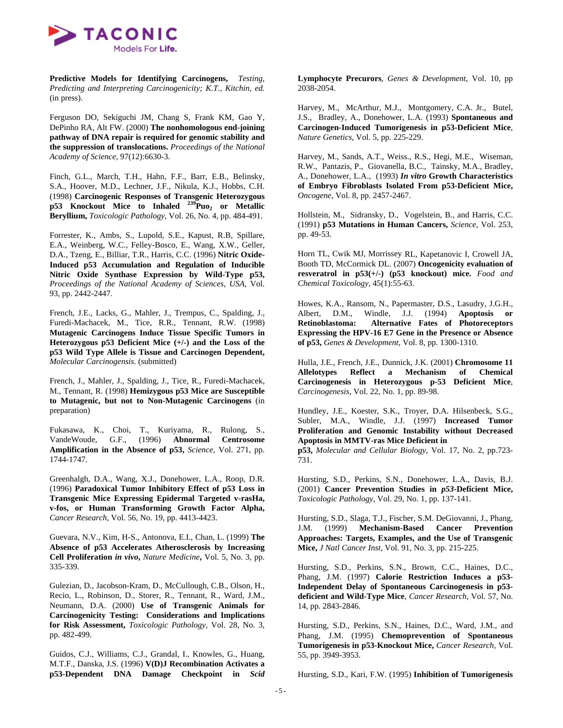

**Predictive Models for Identifying Carcinogens,** *Testing, Predicting and Interpreting Carcinogenicity; K.T., Kitchin, ed.*  (in press).

Ferguson DO, Sekiguchi JM, Chang S, Frank KM, Gao Y, DePinho RA, Alt FW. (2000) **The nonhomologous end-joining pathway of DNA repair is required for genomic stability and the suppression of translocations.** *Proceedings of the National Academy of Science,* 97(12):6630-3.

Finch, G.L., March, T.H., Hahn, F.F., Barr, E.B., Belinsky, S.A., Hoover, M.D., Lechner, J.F., Nikula, K.J., Hobbs, C.H. (1998) **Carcinogenic Responses of Transgenic Heterozygous p53 Knockout Mice to Inhaled <sup>239</sup>Puo<sub>2</sub> or Metallic Beryllium,** *Toxicologic Pathology,* Vol. 26, No. 4, pp. 484-491.

Forrester, K., Ambs, S., Lupold, S.E., Kapust, R.B, Spillare, E.A., Weinberg, W.C., Felley-Bosco, E., Wang, X.W., Geller, D.A., Tzeng, E., Billiar, T.R., Harris, C.C. (1996) **Nitric Oxide-Induced p53 Accumulation and Regulation of Inducible Nitric Oxide Synthase Expression by Wild-Type p53,** *Proceedings of the National Academy of Sciences, USA,* Vol. 93, pp. 2442-2447.

French, J.E., Lacks, G., Mahler, J., Trempus, C., Spalding, J., Furedi-Machacek, M., Tice, R.R., Tennant, R.W. (1998) **Mutagenic Carcinogens Induce Tissue Specific Tumors in Heterozygous p53 Deficient Mice (+/-) and the Loss of the p53 Wild Type Allele is Tissue and Carcinogen Dependent,**  *Molecular Carcinogensis.* (submitted)

French, J., Mahler, J., Spalding, J., Tice, R., Furedi-Machacek, M., Tennant, R. (1998) **Hemizygous p53 Mice are Susceptible to Mutagenic, but not to Non-Mutagenic Carcinogens** (in preparation)

Fukasawa, K., Choi, T., Kuriyama, R., Rulong, S., VandeWoude, G.F., (1996) **Abnormal Centrosome Amplification in the Absence of p53,** *Science,* Vol. 271, pp. 1744-1747.

Greenhalgh, D.A., Wang, X.J., Donehower, L.A., Roop, D.R. (1996) **Paradoxical Tumor Inhibitory Effect of p53 Loss in Transgenic Mice Expressing Epidermal Targeted v-rasHa, v-fos, or Human Transforming Growth Factor Alpha,** *Cancer Research,* Vol. 56, No. 19, pp. 4413-4423.

Guevara, N.V., Kim, H-S., Antonova, E.I., Chan, L. (1999) **The Absence of p53 Accelerates Atherosclerosis by Increasing Cell Proliferation** *in vivo***,** *Nature Medicine***,** Vol. 5, No. 3, pp. 335-339.

Gulezian, D., Jacobson-Kram, D., McCullough, C.B., Olson, H., Recio, L., Robinson, D., Storer, R., Tennant, R., Ward, J.M., Neumann, D.A. (2000) **Use of Transgenic Animals for Carcinogenicity Testing: Considerations and Implications for Risk Assessment,** *Toxicologic Pathology,* Vol. 28, No. 3, pp. 482-499.

Guidos, C.J., Williams, C.J., Grandal, I., Knowles, G., Huang, M.T.F., Danska, J.S. (1996) **V(D)J Recombination Activates a p53-Dependent DNA Damage Checkpoint in** *Scid* **Lymphocyte Precurors**, *Genes & Development*, Vol. 10, pp 2038-2054.

Harvey, M., McArthur, M.J., Montgomery, C.A. Jr., Butel, J.S., Bradley, A., Donehower, L.A. (1993) **Spontaneous and Carcinogen-Induced Tumorigenesis in p53-Deficient Mice**, *Nature Genetics*, Vol. 5, pp. 225-229.

Harvey, M., Sands, A.T., Weiss., R.S., Hegi, M.E., Wiseman, R.W., Pantazis, P., Giovanella, B.C., Tainsky, M.A., Bradley, A., Donehower, L.A., (1993) *In vitro* **Growth Characteristics of Embryo Fibroblasts Isolated From p53-Deficient Mice,**  *Oncogene*, Vol. 8, pp. 2457-2467.

Hollstein, M., Sidransky, D., Vogelstein, B., and Harris, C.C. (1991) **p53 Mutations in Human Cancers,** *Science*, Vol. 253, pp. 49-53.

Horn TL, Cwik MJ, Morrissey RL, Kapetanovic I, Crowell JA, Booth TD, McCormick DL. (2007) **Oncogenicity evaluation of resveratrol in p53(+/-) (p53 knockout) mice.** *Food and Chemical Toxicology,* 45(1):55-63.

Howes, K.A., Ransom, N., Papermaster, D.S., Lasudry, J.G.H., Albert, D.M., Windle, J.J. (1994) **Apoptosis or Retinoblastoma: Alternative Fates of Photoreceptors Expressing the HPV-16 E7 Gene in the Presence or Absence of p53,** *Genes & Development,* Vol. 8, pp. 1300-1310.

Hulla, J.E., French, J.E., Dunnick, J.K. (2001) **Chromosome 11 Allelotypes Reflect a Mechanism of Chemical Carcinogenesis in Heterozygous p-53 Deficient Mice**, *Carcinogenesis,* Vol. 22, No. 1, pp. 89-98.

Hundley, J.E., Koester, S.K., Troyer, D.A. Hilsenbeck, S.G., Subler, M.A., Windle, J.J. (1997) **Increased Tumor Proliferation and Genomic Instability without Decreased Apoptosis in MMTV-ras Mice Deficient in** 

**p53,** *Molecular and Cellular Biology,* Vol. 17, No. 2, pp.723- 731.

Hursting, S.D., Perkins, S.N., Donehower, L.A., Davis, B.J. (2001) **Cancer Prevention Studies in** *p53***-Deficient Mice,**  *Toxicologic Pathology,* Vol. 29, No. 1, pp. 137-141.

Hursting, S.D., Slaga, T.J., Fischer, S.M. DeGiovanni, J., Phang, J.M. (1999) **Mechanism-Based Cancer Prevention Approaches: Targets, Examples, and the Use of Transgenic Mice,** *J Natl Cancer Inst,* Vol. 91, No. 3, pp. 215-225.

Hursting, S.D., Perkins, S.N., Brown, C.C., Haines, D.C., Phang, J.M. (1997) **Calorie Restriction Induces a p53- Independent Delay of Spontaneous Carcinogenesis in p53 deficient and Wild-Type Mice**, *Cancer Research*, Vol. 57, No. 14, pp. 2843-2846.

Hursting, S.D., Perkins, S.N., Haines, D.C., Ward, J.M., and Phang, J.M. (1995) **Chemoprevention of Spontaneous Tumorigenesis in p53-Knockout Mice,** *Cancer Research,* Vol. 55, pp. 3949-3953.

Hursting, S.D., Kari, F.W. (1995) **Inhibition of Tumorigenesis**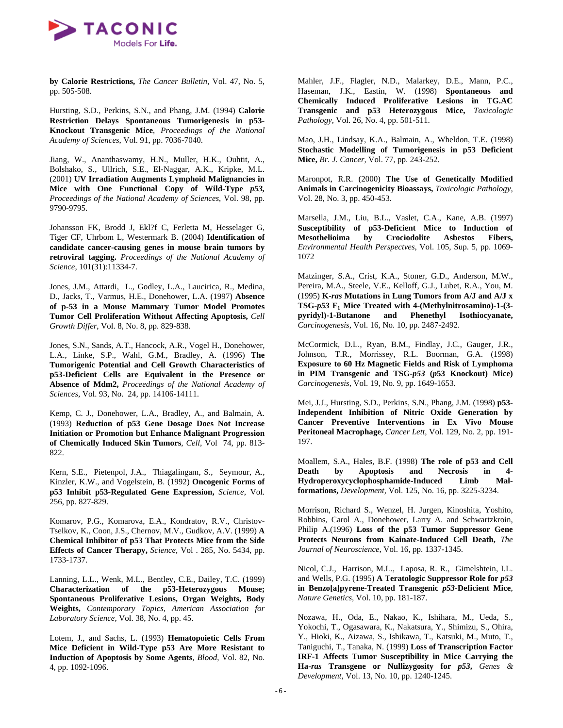

**by Calorie Restrictions,** *The Cancer Bulletin,* Vol. 47, No. 5, pp. 505-508.

Hursting, S.D., Perkins, S.N., and Phang, J.M. (1994) **Calorie Restriction Delays Spontaneous Tumorigenesis in p53- Knockout Transgenic Mice**, *Proceedings of the National Academy of Sciences*, Vol. 91, pp. 7036-7040.

Jiang, W., Ananthaswamy, H.N., Muller, H.K., Ouhtit, A., Bolshako, S., Ullrich, S.E., El-Naggar, A.K., Kripke, M.L. (2001) **UV Irradiation Augments Lymphoid Malignancies in Mice with One Functional Copy of Wild-Type** *p53, Proceedings of the National Academy of Sciences*, Vol. 98, pp. 9790-9795.

Johansson FK, Brodd J, Ekl?f C, Ferletta M, Hesselager G, Tiger CF, Uhrbom L, Westermark B. (2004) **Identification of candidate cancer-causing genes in mouse brain tumors by retroviral tagging.** *Proceedings of the National Academy of Science,* 101(31):11334-7.

Jones, J.M., Attardi, L., Godley, L.A., Laucirica, R., Medina, D., Jacks, T., Varmus, H.E., Donehower, L.A. (1997) **Absence of p-53 in a Mouse Mammary Tumor Model Promotes Tumor Cell Proliferation Without Affecting Apoptosis,** *Cell Growth Differ*, Vol. 8, No. 8, pp. 829-838.

Jones, S.N., Sands, A.T., Hancock, A.R., Vogel H., Donehower, L.A., Linke, S.P., Wahl, G.M., Bradley, A. (1996) **The Tumorigenic Potential and Cell Growth Characteristics of p53-Deficient Cells are Equivalent in the Presence or Absence of Mdm2,** *Proceedings of the National Academy of Sciences,* Vol. 93, No. 24, pp. 14106-14111.

Kemp, C. J., Donehower, L.A., Bradley, A., and Balmain, A. (1993) **Reduction of p53 Gene Dosage Does Not Increase Initiation or Promotion but Enhance Malignant Progression of Chemically Induced Skin Tumors**, *Cell*, Vol 74, pp. 813- 822.

Kern, S.E., Pietenpol, J.A., Thiagalingam, S., Seymour, A., Kinzler, K.W., and Vogelstein, B. (1992) **Oncogenic Forms of p53 Inhibit p53-Regulated Gene Expression,** *Science,* Vol. 256, pp. 827-829.

Komarov, P.G., Komarova, E.A., Kondratov, R.V., Christov-Tselkov, K., Coon, J.S., Chernov, M.V., Gudkov, A.V. (1999) **A Chemical Inhibitor of p53 That Protects Mice from the Side Effects of Cancer Therapy,** *Science,* Vol . 285, No. 5434, pp. 1733-1737.

Lanning, L.L., Wenk, M.L., Bentley, C.E., Dailey, T.C. (1999) **Characterization of the p53-Heterozygous Mouse; Spontaneous Proliferative Lesions, Organ Weights, Body Weights,** *Contemporary Topics, American Association for Laboratory Science,* Vol. 38, No. 4, pp. 45.

Lotem, J., and Sachs, L. (1993) **Hematopoietic Cells From Mice Deficient in Wild-Type p53 Are More Resistant to Induction of Apoptosis by Some Agents**, *Blood*, Vol. 82, No. 4, pp. 1092-1096.

Mahler, J.F., Flagler, N.D., Malarkey, D.E., Mann, P.C., Haseman, J.K., Eastin, W. (1998) **Spontaneous and Chemically Induced Proliferative Lesions in TG.AC Transgenic and p53 Heterozygous Mice,** *Toxicologic Pathology,* Vol. 26, No. 4, pp. 501-511.

Mao, J.H., Lindsay, K.A., Balmain, A., Wheldon, T.E. (1998) **Stochastic Modelling of Tumorigenesis in p53 Deficient Mice,** *Br. J. Cancer,* Vol. 77, pp. 243-252.

Maronpot, R.R. (2000) **The Use of Genetically Modified Animals in Carcinogenicity Bioassays,** *Toxicologic Pathology,*  Vol. 28, No. 3, pp. 450-453.

Marsella, J.M., Liu, B.L., Vaslet, C.A., Kane, A.B. (1997) **Susceptibility of p53-Deficient Mice to Induction of Mesothelioima by Crociodolite Asbestos Fibers,**  *Environmental Health Perspectves,* Vol. 105, Sup. 5, pp. 1069- 1072

Matzinger, S.A., Crist, K.A., Stoner, G.D., Anderson, M.W., Pereira, M.A., Steele, V.E., Kelloff, G.J., Lubet, R.A., You, M. (1995) **K-***ras* **Mutations in Lung Tumors from A/J and A/J x TSG-***p53* **F1 Mice Treated with 4-(Methylnitrosamino)-1-(3 pyridyl)-1-Butanone and Phenethyl Isothiocyanate,**  *Carcinogenesis,* Vol. 16, No. 10, pp. 2487-2492.

McCormick, D.L., Ryan, B.M., Findlay, J.C., Gauger, J.R., Johnson, T.R., Morrissey, R.L. Boorman, G.A. (1998) **Exposure to 60 Hz Magnetic Fields and Risk of Lymphoma in PIM Transgenic and TSG-***p53* **(***p***53 Knockout) Mice)**  *Carcinogenesis,* Vol. 19, No. 9, pp. 1649-1653.

Mei, J.J., Hursting, S.D., Perkins, S.N., Phang, J.M. (1998) **p53- Independent Inhibition of Nitric Oxide Generation by Cancer Preventive Interventions in Ex Vivo Mouse Peritoneal Macrophage,** *Cancer Lett,* Vol. 129, No. 2, pp. 191- 197.

Moallem, S.A., Hales, B.F. (1998) **The role of p53 and Cell Death by Apoptosis and Necrosis in 4- Hydroperoxycyclophosphamide-Induced Limb Malformations,** *Development,* Vol. 125, No. 16, pp. 3225-3234.

Morrison, Richard S., Wenzel, H. Jurgen, Kinoshita, Yoshito, Robbins, Carol A., Donehower, Larry A. and Schwartzkroin, Philip A.(1996) **Loss of the p53 Tumor Suppressor Gene Protects Neurons from Kainate-Induced Cell Death,** *The Journal of Neuroscience,* Vol. 16, pp. 1337-1345.

Nicol, C.J., Harrison, M.L., Laposa, R. R., Gimelshtein, I.L. and Wells, P.G. (1995) **A Teratologic Suppressor Role for** *p53* **in Benzo[a]pyrene-Treated Transgenic** *p53***-Deficient Mice**, *Nature Genetics*, Vol. 10, pp. 181-187.

Nozawa, H., Oda, E., Nakao, K., Ishihara, M., Ueda, S., Yokochi, T., Ogasawara, K., Nakatsura, Y., Shimizu, S., Ohira, Y., Hioki, K., Aizawa, S., Ishikawa, T., Katsuki, M., Muto, T., Taniguchi, T., Tanaka, N. (1999) **Loss of Transcription Factor IRF-1 Affects Tumor Susceptibility in Mice Carrying the Ha-***ras* **Transgene or Nullizygosity for** *p53***,** *Genes & Development*, Vol. 13, No. 10, pp. 1240-1245.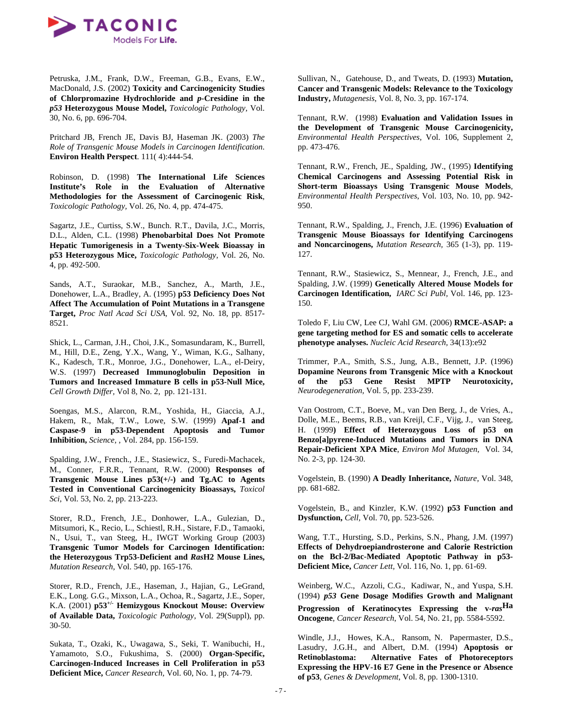

Petruska, J.M., Frank, D.W., Freeman, G.B., Evans, E.W., MacDonald, J.S. (2002) **Toxicity and Carcinogenicity Studies of Chlorpromazine Hydrochloride and** *p-***Cresidine in the**  *p53* **Heterozygous Mouse Model,** *Toxicologic Pathology,* Vol. 30, No. 6, pp. 696-704.

Pritchard JB, French JE, Davis BJ, Haseman JK. (2003) *The Role of Transgenic Mouse Models in Carcinogen Identification*. **Environ Health Perspect**. 111( 4):444-54.

Robinson, D. (1998) **The International Life Sciences Institute's Role in the Evaluation of Alternative Methodologies for the Assessment of Carcinogenic Risk**, *Toxicologic Pathology,* Vol. 26, No. 4, pp. 474-475.

Sagartz, J.E., Curtiss, S.W., Bunch. R.T., Davila, J.C., Morris, D.L., Alden, C.L. (1998) **Phenobarbital Does Not Promote Hepatic Tumorigenesis in a Twenty-Six-Week Bioassay in p53 Heterozygous Mice,** *Toxicologic Pathology,* Vol. 26, No. 4, pp. 492-500.

Sands, A.T., Suraokar, M.B., Sanchez, A., Marth, J.E., Donehower, L.A., Bradley, A. (1995) **p53 Deficiency Does Not Affect The Accumulation of Point Mutations in a Transgene Target,** *Proc Natl Acad Sci USA,* Vol. 92, No. 18, pp. 8517- 8521.

Shick, L., Carman, J.H., Choi, J.K., Somasundaram, K., Burrell, M., Hill, D.E., Zeng, Y.X., Wang, Y., Wiman, K.G., Salhany, K., Kadesch, T.R., Monroe, J.G., Donehower, L.A., el-Deiry, W.S. (1997) **Decreased Immunoglobulin Deposition in Tumors and Increased Immature B cells in p53-Null Mice,**  *Cell Growth Differ,* Vol 8, No. 2, pp. 121-131.

Soengas, M.S., Alarcon, R.M., Yoshida, H., Giaccia, A.J., Hakem, R., Mak, T.W., Lowe, S.W. (1999) **Apaf-1 and Caspase-9 in p53-Dependent Apoptosis and Tumor Inhibition,** *Science,* , Vol. 284, pp. 156-159.

Spalding, J.W., French., J.E., Stasiewicz, S., Furedi-Machacek, M., Conner, F.R.R., Tennant, R.W. (2000) **Responses of Transgenic Mouse Lines p53(+/-) and Tg.AC to Agents Tested in Conventional Carcinogenicity Bioassays,** *Toxicol Sci,* Vol. 53, No. 2, pp. 213-223.

Storer, R.D., French, J.E., Donhower, L.A., Gulezian, D., Mitsumori, K., Recio, L., Schiestl, R.H., Sistare, F.D., Tamaoki, N., Usui, T., van Steeg, H., IWGT Working Group (2003) **Transgenic Tumor Models for Carcinogen Identification: the Heterozygous Trp53-Deficient and** *Ras***H2 Mouse Lines,**  *Mutation Research,* Vol. 540, pp. 165-176.

Storer, R.D., French, J.E., Haseman, J., Hajian, G., LeGrand, E.K., Long. G.G., Mixson, L.A., Ochoa, R., Sagartz, J.E., Soper, K.A. (2001) **p53+/- Hemizygous Knockout Mouse: Overview of Available Data,** *Toxicologic Pathology,* Vol. 29(Suppl), pp. 30-50.

Sukata, T., Ozaki, K., Uwagawa, S., Seki, T. Wanibuchi, H., Yamamoto, S.O., Fukushima, S. (2000) **Organ-Specific, Carcinogen-Induced Increases in Cell Proliferation in p53 Deficient Mice,** *Cancer Research,* Vol. 60, No. 1, pp. 74-79.

Sullivan, N., Gatehouse, D., and Tweats, D. (1993) **Mutation, Cancer and Transgenic Models: Relevance to the Toxicology Industry,** *Mutagenesis*, Vol. 8, No. 3, pp. 167-174.

Tennant, R.W. (1998) **Evaluation and Validation Issues in the Development of Transgenic Mouse Carcinogenicity,**  *Environmental Health Perspectives,* Vol. 106, Supplement 2, pp. 473-476.

Tennant, R.W., French, JE., Spalding, JW., (1995) **Identifying Chemical Carcinogens and Assessing Potential Risk in Short-term Bioassays Using Transgenic Mouse Models**, *Environmental Health Perspectives*, Vol. 103, No. 10, pp. 942- 950.

Tennant, R.W., Spalding, J., French, J.E. (1996) **Evaluation of Transgenic Mouse Bioassays for Identifying Carcinogens and Noncarcinogens,** *Mutation Research,* 365 (1-3), pp. 119- 127.

Tennant, R.W., Stasiewicz, S., Mennear, J., French, J.E., and Spalding, J.W. (1999) **Genetically Altered Mouse Models for Carcinogen Identification,** *IARC Sci Publ,* Vol. 146, pp. 123- 150.

Toledo F, Liu CW, Lee CJ, Wahl GM. (2006) **RMCE-ASAP: a gene targeting method for ES and somatic cells to accelerate phenotype analyses.** *Nucleic Acid Research,* 34(13):e92

Trimmer, P.A., Smith, S.S., Jung, A.B., Bennett, J.P. (1996) **Dopamine Neurons from Transgenic Mice with a Knockout of the p53 Gene Resist MPTP Neurotoxicity,**  *Neurodegeneration,* Vol. 5, pp. 233-239.

Van Oostrom, C.T., Boeve, M., van Den Berg, J., de Vries, A., Dolle, M.E., Beems, R.B., van Kreijl, C.F., Vijg, J., van Steeg, H. (1999**) Effect of Heterozygous Loss of p53 on Benzo[a]pyrene-Induced Mutations and Tumors in DNA Repair-Deficient XPA Mice**, *Environ Mol Mutagen*, Vol. 34, No. 2-3, pp. 124-30.

Vogelstein, B. (1990) **A Deadly Inheritance,** *Nature,* Vol. 348, pp. 681-682.

Vogelstein, B., and Kinzler, K.W. (1992) **p53 Function and Dysfunction,** *Cell,* Vol. 70, pp. 523-526.

Wang, T.T., Hursting, S.D., Perkins, S.N., Phang, J.M. (1997) **Effects of Dehydroepiandrosterone and Calorie Restriction on the Bcl-2/Bac-Mediated Apoptotic Pathway in p53- Deficient Mice,** *Cancer Lett,* Vol. 116, No. 1, pp. 61-69.

Weinberg, W.C., Azzoli, C.G., Kadiwar, N., and Yuspa, S.H. (1994) *p53* **Gene Dosage Modifies Growth and Malignant Progression of Keratinocytes Expressing the v-***ras***Ha Oncogene**, *Cancer Research*, Vol. 54, No. 21, pp. 5584-5592.

Windle, J.J., Howes, K.A., Ransom, N. Papermaster, D.S., Lasudry, J.G.H., and Albert, D.M. (1994) **Apoptosis or Retinoblastoma: Alternative Fates of Photoreceptors Expressing the HPV-16 E7 Gene in the Presence or Absence of p53**, *Genes & Development*, Vol. 8, pp. 1300-1310.